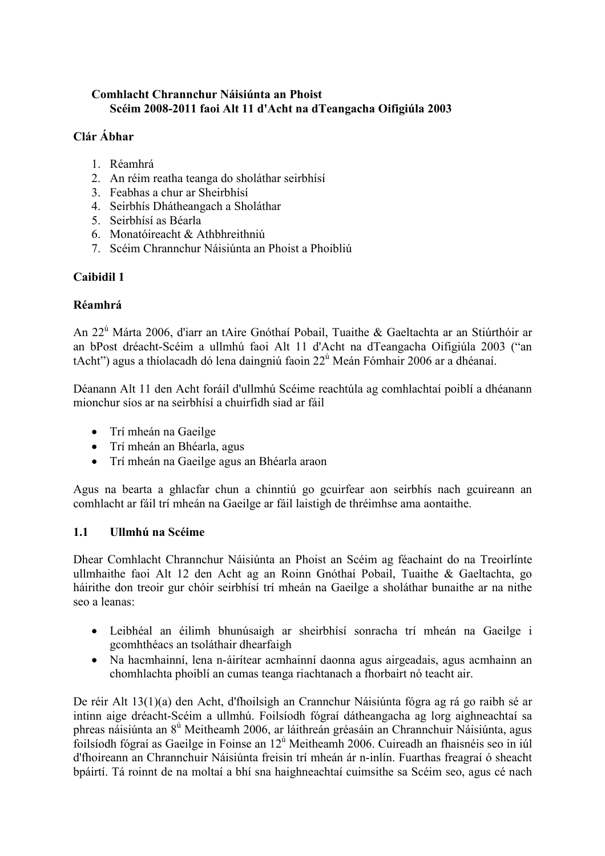## Comhlacht Chrannchur Náisiúnta an Phoist Scéim 2008-2011 faoi Alt 11 d'Acht na dTeangacha Oifigiúla 2003

# Clár Ábhar

- 1. Réamhrá
- 2. An réim reatha teanga do sholáthar seirbhísí
- 3. Feabhas a chur ar Sheirbhísí
- 4. Seirbhís Dhátheangach a Sholáthar
- 5. Seirbhísí as Béarla
- 6. Monatóireacht & Athbhreithniú
- 7. Scéim Chrannchur Náisiúnta an Phoist a Phoibliú

# Caibidil 1

## Réamhrá

An 22<sup>ú</sup> Márta 2006, d'iarr an tAire Gnóthaí Pobail, Tuaithe & Gaeltachta ar an Stiúrthóir ar an bPost dréacht-Scéim a ullmhú faoi Alt 11 d'Acht na dTeangacha Oifigiúla 2003 ("an tAcht") agus a thíolacadh dó lena daingniú faoin 22<sup>ú</sup> Meán Fómhair 2006 ar a dhéanaí.

Déanann Alt 11 den Acht foráil d'ullmhú Scéime reachtúla ag comhlachtaí poiblí a dhéanann mionchur síos ar na seirbhísí a chuirfidh siad ar fáil

- Trí mheán na Gaeilge
- Trí mheán an Bhéarla, agus
- Trí mheán na Gaeilge agus an Bhéarla araon

Agus na bearta a ghlacfar chun a chinntiú go gcuirfear aon seirbhís nach gcuireann an comhlacht ar fáil trí mheán na Gaeilge ar fáil laistigh de thréimhse ama aontaithe.

### 1.1 Ullmhú na Scéime

Dhear Comhlacht Chrannchur Náisiúnta an Phoist an Scéim ag féachaint do na Treoirlínte ullmhaithe faoi Alt 12 den Acht ag an Roinn Gnóthaí Pobail, Tuaithe & Gaeltachta, go háirithe don treoir gur chóir seirbhísí trí mheán na Gaeilge a sholáthar bunaithe ar na nithe seo a leanas:

- Leibhéal an éilimh bhunúsaigh ar sheirbhísí sonracha trí mheán na Gaeilge i gcomhthéacs an tsoláthair dhearfaigh
- Na hacmhainní, lena n-áirítear acmhainní daonna agus airgeadais, agus acmhainn an chomhlachta phoiblí an cumas teanga riachtanach a fhorbairt nó teacht air.

De réir Alt 13(1)(a) den Acht, d'fhoilsigh an Crannchur Náisiúnta fógra ag rá go raibh sé ar intinn aige dréacht-Scéim a ullmhú. Foilsíodh fógraí dátheangacha ag lorg aighneachtaí sa phreas náisiúnta an 8<sup>ú</sup> Meitheamh 2006, ar láithreán gréasáin an Chrannchuir Náisiúnta, agus foilsíodh fógraí as Gaeilge in Foinse an 12<sup>ú</sup> Meitheamh 2006. Cuireadh an fhaisnéis seo in iúl d'fhoireann an Chrannchuir Náisiúnta freisin trí mheán ár n-inlín. Fuarthas freagraí ó sheacht bpáirtí. Tá roinnt de na moltaí a bhí sna haighneachtaí cuimsithe sa Scéim seo, agus cé nach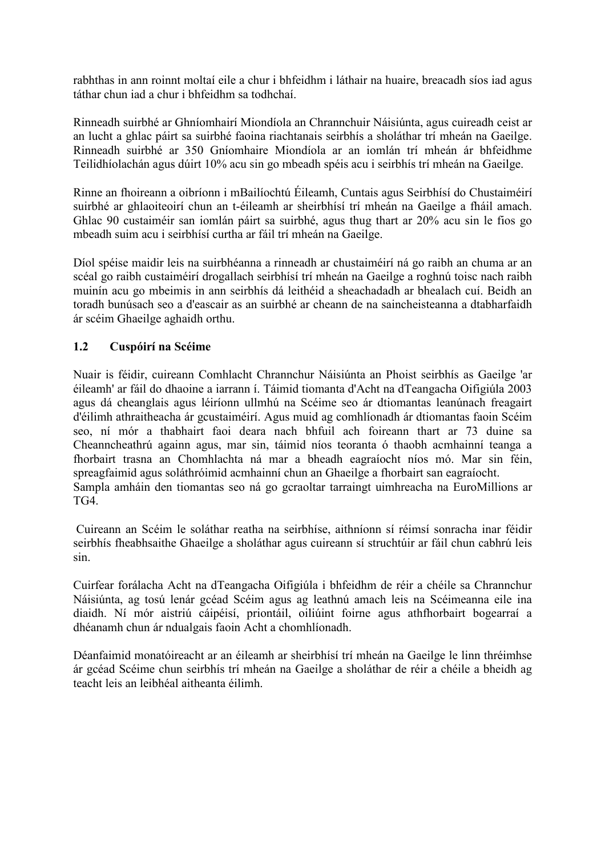rabhthas in ann roinnt moltaí eile a chur i bhfeidhm i láthair na huaire, breacadh síos iad agus táthar chun iad a chur i bhfeidhm sa todhchaí.

Rinneadh suirbhé ar Ghníomhairí Miondíola an Chrannchuir Náisiúnta, agus cuireadh ceist ar an lucht a ghlac páirt sa suirbhé faoina riachtanais seirbhís a sholáthar trí mheán na Gaeilge. Rinneadh suirbhé ar 350 Gníomhaire Miondíola ar an iomlán trí mheán ár bhfeidhme Teilidhíolachán agus dúirt 10% acu sin go mbeadh spéis acu i seirbhís trí mheán na Gaeilge.

Rinne an fhoireann a oibríonn i mBailíochtú Éileamh, Cuntais agus Seirbhísí do Chustaiméirí suirbhé ar ghlaoiteoirí chun an t-éileamh ar sheirbhísí trí mheán na Gaeilge a fháil amach. Ghlac 90 custaiméir san iomlán páirt sa suirbhé, agus thug thart ar 20% acu sin le fios go mbeadh suim acu i seirbhísí curtha ar fáil trí mheán na Gaeilge.

Díol spéise maidir leis na suirbhéanna a rinneadh ar chustaiméirí ná go raibh an chuma ar an scéal go raibh custaiméirí drogallach seirbhísí trí mheán na Gaeilge a roghnú toisc nach raibh muinín acu go mbeimis in ann seirbhís dá leithéid a sheachadadh ar bhealach cuí. Beidh an toradh bunúsach seo a d'eascair as an suirbhé ar cheann de na saincheisteanna a dtabharfaidh ár scéim Ghaeilge aghaidh orthu.

## 1.2 Cuspóirí na Scéime

Nuair is féidir, cuireann Comhlacht Chrannchur Náisiúnta an Phoist seirbhís as Gaeilge 'ar éileamh' ar fáil do dhaoine a iarrann í. Táimid tiomanta d'Acht na dTeangacha Oifigiúla 2003 agus dá cheanglais agus léiríonn ullmhú na Scéime seo ár dtiomantas leanúnach freagairt d'éilimh athraitheacha ár gcustaiméirí. Agus muid ag comhlíonadh ár dtiomantas faoin Scéim seo, ní mór a thabhairt faoi deara nach bhfuil ach foireann thart ar 73 duine sa Cheanncheathrú againn agus, mar sin, táimid níos teoranta ó thaobh acmhainní teanga a fhorbairt trasna an Chomhlachta ná mar a bheadh eagraíocht níos mó. Mar sin féin, spreagfaimid agus soláthróimid acmhainní chun an Ghaeilge a fhorbairt san eagraíocht. Sampla amháin den tiomantas seo ná go gcraoltar tarraingt uimhreacha na EuroMillions ar TG4.

 Cuireann an Scéim le soláthar reatha na seirbhíse, aithníonn sí réimsí sonracha inar féidir seirbhís fheabhsaithe Ghaeilge a sholáthar agus cuireann sí struchtúir ar fáil chun cabhrú leis sin.

Cuirfear forálacha Acht na dTeangacha Oifigiúla i bhfeidhm de réir a chéile sa Chrannchur Náisiúnta, ag tosú lenár gcéad Scéim agus ag leathnú amach leis na Scéimeanna eile ina diaidh. Ní mór aistriú cáipéisí, priontáil, oiliúint foirne agus athfhorbairt bogearraí a dhéanamh chun ár ndualgais faoin Acht a chomhlíonadh.

Déanfaimid monatóireacht ar an éileamh ar sheirbhísí trí mheán na Gaeilge le linn thréimhse ár gcéad Scéime chun seirbhís trí mheán na Gaeilge a sholáthar de réir a chéile a bheidh ag teacht leis an leibhéal aitheanta éilimh.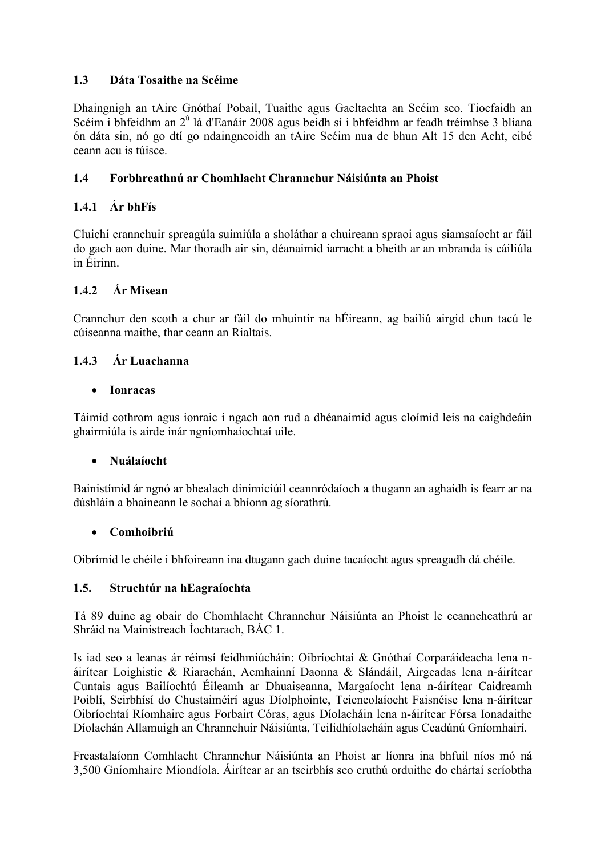## 1.3 Dáta Tosaithe na Scéime

Dhaingnigh an tAire Gnóthaí Pobail, Tuaithe agus Gaeltachta an Scéim seo. Tiocfaidh an Scéim i bhfeidhm an 2<sup>ú</sup> lá d'Eanáir 2008 agus beidh sí i bhfeidhm ar feadh tréimhse 3 bliana ón dáta sin, nó go dtí go ndaingneoidh an tAire Scéim nua de bhun Alt 15 den Acht, cibé ceann acu is túisce.

## 1.4 Forbhreathnú ar Chomhlacht Chrannchur Náisiúnta an Phoist

# 1.4.1 Ár bhFís

Cluichí crannchuir spreagúla suimiúla a sholáthar a chuireann spraoi agus siamsaíocht ar fáil do gach aon duine. Mar thoradh air sin, déanaimid iarracht a bheith ar an mbranda is cáiliúla in Éirinn.

## 1.4.2 Ár Misean

Crannchur den scoth a chur ar fáil do mhuintir na hÉireann, ag bailiú airgid chun tacú le cúiseanna maithe, thar ceann an Rialtais.

## 1.4.3 Ár Luachanna

• Ionracas

Táimid cothrom agus ionraic i ngach aon rud a dhéanaimid agus cloímid leis na caighdeáin ghairmiúla is airde inár ngníomhaíochtaí uile.

### • Nuálaíocht

Bainistímid ár ngnó ar bhealach dinimiciúil ceannródaíoch a thugann an aghaidh is fearr ar na dúshláin a bhaineann le sochaí a bhíonn ag síorathrú.

### • Comhoibriú

Oibrímid le chéile i bhfoireann ina dtugann gach duine tacaíocht agus spreagadh dá chéile.

### 1.5. Struchtúr na hEagraíochta

Tá 89 duine ag obair do Chomhlacht Chrannchur Náisiúnta an Phoist le ceanncheathrú ar Shráid na Mainistreach Íochtarach, BÁC 1.

Is iad seo a leanas ár réimsí feidhmiúcháin: Oibríochtaí & Gnóthaí Corparáideacha lena náirítear Loighistic & Riarachán, Acmhainní Daonna & Slándáil, Airgeadas lena n-áirítear Cuntais agus Bailíochtú Éileamh ar Dhuaiseanna, Margaíocht lena n-áirítear Caidreamh Poiblí, Seirbhísí do Chustaiméirí agus Díolphointe, Teicneolaíocht Faisnéise lena n-áirítear Oibríochtaí Ríomhaire agus Forbairt Córas, agus Díolacháin lena n-áirítear Fórsa Ionadaithe Díolachán Allamuigh an Chrannchuir Náisiúnta, Teilidhíolacháin agus Ceadúnú Gníomhairí.

Freastalaíonn Comhlacht Chrannchur Náisiúnta an Phoist ar líonra ina bhfuil níos mó ná 3,500 Gníomhaire Miondíola. Áirítear ar an tseirbhís seo cruthú orduithe do chártaí scríobtha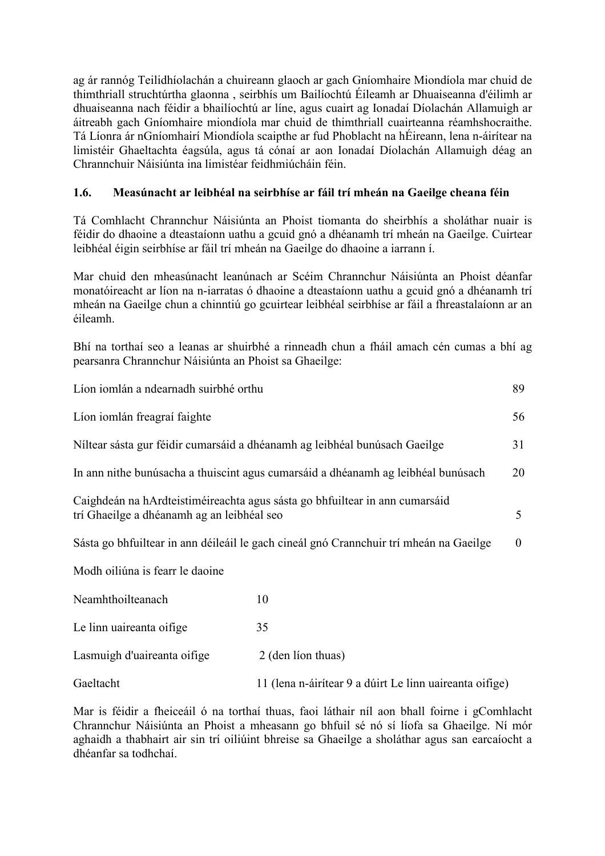ag ár rannóg Teilidhíolachán a chuireann glaoch ar gach Gníomhaire Miondíola mar chuid de thimthriall struchtúrtha glaonna , seirbhís um Bailíochtú Éileamh ar Dhuaiseanna d'éilimh ar dhuaiseanna nach féidir a bhailíochtú ar líne, agus cuairt ag Ionadaí Díolachán Allamuigh ar áitreabh gach Gníomhaire miondíola mar chuid de thimthriall cuairteanna réamhshocraithe. Tá Líonra ár nGníomhairí Miondíola scaipthe ar fud Phoblacht na hÉireann, lena n-áirítear na limistéir Ghaeltachta éagsúla, agus tá cónaí ar aon Ionadaí Díolachán Allamuigh déag an Chrannchuir Náisiúnta ina limistéar feidhmiúcháin féin.

## 1.6. Measúnacht ar leibhéal na seirbhíse ar fáil trí mheán na Gaeilge cheana féin

Tá Comhlacht Chrannchur Náisiúnta an Phoist tiomanta do sheirbhís a sholáthar nuair is féidir do dhaoine a dteastaíonn uathu a gcuid gnó a dhéanamh trí mheán na Gaeilge. Cuirtear leibhéal éigin seirbhíse ar fáil trí mheán na Gaeilge do dhaoine a iarrann í.

Mar chuid den mheasúnacht leanúnach ar Scéim Chrannchur Náisiúnta an Phoist déanfar monatóireacht ar líon na n-iarratas ó dhaoine a dteastaíonn uathu a gcuid gnó a dhéanamh trí mheán na Gaeilge chun a chinntiú go gcuirtear leibhéal seirbhíse ar fáil a fhreastalaíonn ar an éileamh.

Bhí na torthaí seo a leanas ar shuirbhé a rinneadh chun a fháil amach cén cumas a bhí ag pearsanra Chrannchur Náisiúnta an Phoist sa Ghaeilge:

| Líon iomlán a ndearnadh suirbhé orthu                                                                                     |                                                         | 89       |
|---------------------------------------------------------------------------------------------------------------------------|---------------------------------------------------------|----------|
| Líon iomlán freagraí faighte                                                                                              |                                                         | 56       |
| Níltear sásta gur féidir cumarsáid a dhéanamh ag leibhéal bunúsach Gaeilge                                                |                                                         | 31       |
| In ann nithe bunúsacha a thuiscint agus cumarsáid a dhéanamh ag leibhéal bunúsach                                         |                                                         | 20       |
| Caighdeán na hArdteistiméireachta agus sásta go bhfuiltear in ann cumarsáid<br>trí Ghaeilge a dhéanamh ag an leibhéal seo |                                                         | 5        |
| Sásta go bhfuiltear in ann déileáil le gach cineál gnó Crannchuir trí mheán na Gaeilge                                    |                                                         | $\theta$ |
| Modh oiliúna is fearr le daoine                                                                                           |                                                         |          |
| Neamhthoilteanach                                                                                                         | 10                                                      |          |
| Le linn uaireanta oifige                                                                                                  | 35                                                      |          |
| Lasmuigh d'uaireanta oifige                                                                                               | 2 (den lion thuas)                                      |          |
| Gaeltacht                                                                                                                 | 11 (lena n-áirítear 9 a dúirt Le linn uaireanta oifige) |          |

Mar is féidir a fheiceáil ó na torthaí thuas, faoi láthair níl aon bhall foirne i gComhlacht Chrannchur Náisiúnta an Phoist a mheasann go bhfuil sé nó sí líofa sa Ghaeilge. Ní mór aghaidh a thabhairt air sin trí oiliúint bhreise sa Ghaeilge a sholáthar agus san earcaíocht a dhéanfar sa todhchaí.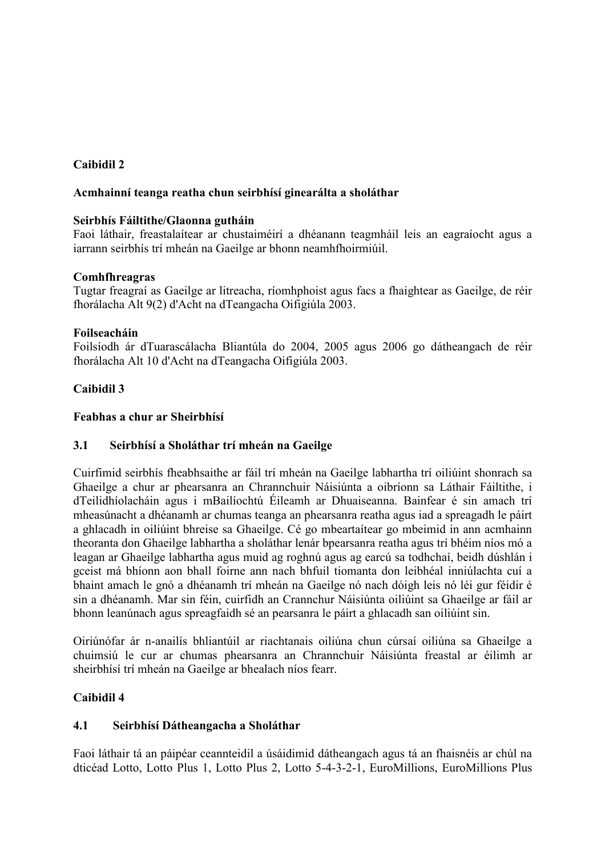## Caibidil 2

#### Acmhainní teanga reatha chun seirbhísí ginearálta a sholáthar

#### Seirbhís Fáiltithe/Glaonna gutháin

Faoi láthair, freastalaítear ar chustaiméirí a dhéanann teagmháil leis an eagraíocht agus a iarrann seirbhís trí mheán na Gaeilge ar bhonn neamhfhoirmiúil.

#### Comhfhreagras

Tugtar freagraí as Gaeilge ar litreacha, ríomhphoist agus facs a fhaightear as Gaeilge, de réir fhorálacha Alt 9(2) d'Acht na dTeangacha Oifigiúla 2003.

#### Foilseacháin

Foilsíodh ár dTuarascálacha Bliantúla do 2004, 2005 agus 2006 go dátheangach de réir fhorálacha Alt 10 d'Acht na dTeangacha Oifigiúla 2003.

### Caibidil 3

#### Feabhas a chur ar Sheirbhísí

### 3.1 Seirbhísí a Sholáthar trí mheán na Gaeilge

Cuirfimid seirbhís fheabhsaithe ar fáil trí mheán na Gaeilge labhartha trí oiliúint shonrach sa Ghaeilge a chur ar phearsanra an Chrannchuir Náisiúnta a oibríonn sa Láthair Fáiltithe, i dTeilidhíolacháin agus i mBailíochtú Éileamh ar Dhuaiseanna. Bainfear é sin amach trí mheasúnacht a dhéanamh ar chumas teanga an phearsanra reatha agus iad a spreagadh le páirt a ghlacadh in oiliúint bhreise sa Ghaeilge. Cé go mbeartaítear go mbeimid in ann acmhainn theoranta don Ghaeilge labhartha a sholáthar lenár bpearsanra reatha agus trí bhéim níos mó a leagan ar Ghaeilge labhartha agus muid ag roghnú agus ag earcú sa todhchaí, beidh dúshlán i gceist má bhíonn aon bhall foirne ann nach bhfuil tiomanta don leibhéal inniúlachta cuí a bhaint amach le gnó a dhéanamh trí mheán na Gaeilge nó nach dóigh leis nó léi gur féidir é sin a dhéanamh. Mar sin féin, cuirfidh an Crannchur Náisiúnta oiliúint sa Ghaeilge ar fáil ar bhonn leanúnach agus spreagfaidh sé an pearsanra le páirt a ghlacadh san oiliúint sin.

Oiriúnófar ár n-anailís bhliantúil ar riachtanais oiliúna chun cúrsaí oiliúna sa Ghaeilge a chuimsiú le cur ar chumas phearsanra an Chrannchuir Náisiúnta freastal ar éilimh ar sheirbhísí trí mheán na Gaeilge ar bhealach níos fearr.

### Caibidil 4

### 4.1 Seirbhísí Dátheangacha a Sholáthar

Faoi láthair tá an páipéar ceannteidil a úsáidimid dátheangach agus tá an fhaisnéis ar chúl na dticéad Lotto, Lotto Plus 1, Lotto Plus 2, Lotto 5-4-3-2-1, EuroMillions, EuroMillions Plus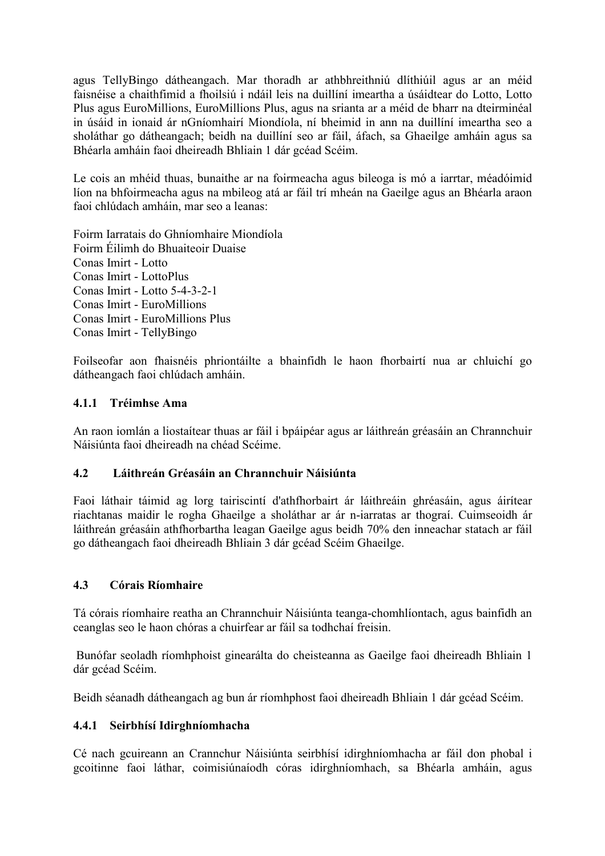agus TellyBingo dátheangach. Mar thoradh ar athbhreithniú dlíthiúil agus ar an méid faisnéise a chaithfimid a fhoilsiú i ndáil leis na duillíní imeartha a úsáidtear do Lotto, Lotto Plus agus EuroMillions, EuroMillions Plus, agus na srianta ar a méid de bharr na dteirminéal in úsáid in ionaid ár nGníomhairí Miondíola, ní bheimid in ann na duillíní imeartha seo a sholáthar go dátheangach; beidh na duillíní seo ar fáil, áfach, sa Ghaeilge amháin agus sa Bhéarla amháin faoi dheireadh Bhliain 1 dár gcéad Scéim.

Le cois an mhéid thuas, bunaithe ar na foirmeacha agus bileoga is mó a iarrtar, méadóimid líon na bhfoirmeacha agus na mbileog atá ar fáil trí mheán na Gaeilge agus an Bhéarla araon faoi chlúdach amháin, mar seo a leanas:

Foirm Iarratais do Ghníomhaire Miondíola Foirm Éilimh do Bhuaiteoir Duaise Conas Imirt - Lotto Conas Imirt - LottoPlus Conas Imirt - Lotto 5-4-3-2-1 Conas Imirt - EuroMillions Conas Imirt - EuroMillions Plus Conas Imirt - TellyBingo

Foilseofar aon fhaisnéis phriontáilte a bhainfidh le haon fhorbairtí nua ar chluichí go dátheangach faoi chlúdach amháin.

#### 4.1.1 Tréimhse Ama

An raon iomlán a liostaítear thuas ar fáil i bpáipéar agus ar láithreán gréasáin an Chrannchuir Náisiúnta faoi dheireadh na chéad Scéime.

## 4.2 Láithreán Gréasáin an Chrannchuir Náisiúnta

Faoi láthair táimid ag lorg tairiscintí d'athfhorbairt ár láithreáin ghréasáin, agus áirítear riachtanas maidir le rogha Ghaeilge a sholáthar ar ár n-iarratas ar thograí. Cuimseoidh ár láithreán gréasáin athfhorbartha leagan Gaeilge agus beidh 70% den inneachar statach ar fáil go dátheangach faoi dheireadh Bhliain 3 dár gcéad Scéim Ghaeilge.

### 4.3 Córais Ríomhaire

Tá córais ríomhaire reatha an Chrannchuir Náisiúnta teanga-chomhlíontach, agus bainfidh an ceanglas seo le haon chóras a chuirfear ar fáil sa todhchaí freisin.

Bunófar seoladh ríomhphoist ginearálta do cheisteanna as Gaeilge faoi dheireadh Bhliain 1 dár gcéad Scéim.

Beidh séanadh dátheangach ag bun ár ríomhphost faoi dheireadh Bhliain 1 dár gcéad Scéim.

### 4.4.1 Seirbhísí Idirghníomhacha

Cé nach gcuireann an Crannchur Náisiúnta seirbhísí idirghníomhacha ar fáil don phobal i gcoitinne faoi láthar, coimisiúnaíodh córas idirghníomhach, sa Bhéarla amháin, agus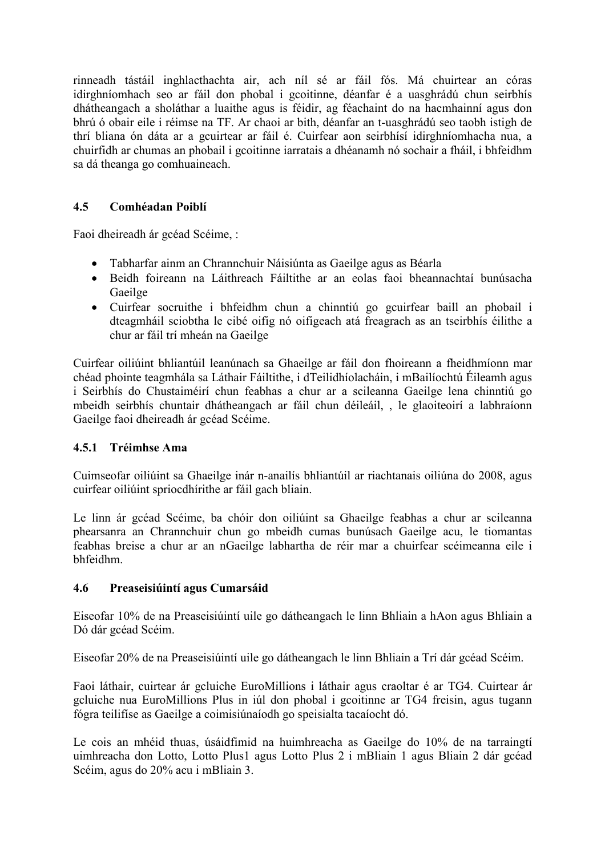rinneadh tástáil inghlacthachta air, ach níl sé ar fáil fós. Má chuirtear an córas idirghníomhach seo ar fáil don phobal i gcoitinne, déanfar é a uasghrádú chun seirbhís dhátheangach a sholáthar a luaithe agus is féidir, ag féachaint do na hacmhainní agus don bhrú ó obair eile i réimse na TF. Ar chaoi ar bith, déanfar an t-uasghrádú seo taobh istigh de thrí bliana ón dáta ar a gcuirtear ar fáil é. Cuirfear aon seirbhísí idirghníomhacha nua, a chuirfidh ar chumas an phobail i gcoitinne iarratais a dhéanamh nó sochair a fháil, i bhfeidhm sa dá theanga go comhuaineach.

# 4.5 Comhéadan Poiblí

Faoi dheireadh ár gcéad Scéime, :

- Tabharfar ainm an Chrannchuir Náisiúnta as Gaeilge agus as Béarla
- Beidh foireann na Láithreach Fáiltithe ar an eolas faoi bheannachtaí bunúsacha Gaeilge
- Cuirfear socruithe i bhfeidhm chun a chinntiú go gcuirfear baill an phobail i dteagmháil sciobtha le cibé oifig nó oifigeach atá freagrach as an tseirbhís éilithe a chur ar fáil trí mheán na Gaeilge

Cuirfear oiliúint bhliantúil leanúnach sa Ghaeilge ar fáil don fhoireann a fheidhmíonn mar chéad phointe teagmhála sa Láthair Fáiltithe, i dTeilidhíolacháin, i mBailíochtú Éileamh agus i Seirbhís do Chustaiméirí chun feabhas a chur ar a scileanna Gaeilge lena chinntiú go mbeidh seirbhís chuntair dhátheangach ar fáil chun déileáil, , le glaoiteoirí a labhraíonn Gaeilge faoi dheireadh ár gcéad Scéime.

### 4.5.1 Tréimhse Ama

Cuimseofar oiliúint sa Ghaeilge inár n-anailís bhliantúil ar riachtanais oiliúna do 2008, agus cuirfear oiliúint spriocdhírithe ar fáil gach bliain.

Le linn ár gcéad Scéime, ba chóir don oiliúint sa Ghaeilge feabhas a chur ar scileanna phearsanra an Chrannchuir chun go mbeidh cumas bunúsach Gaeilge acu, le tiomantas feabhas breise a chur ar an nGaeilge labhartha de réir mar a chuirfear scéimeanna eile i bhfeidhm.

### 4.6 Preaseisiúintí agus Cumarsáid

Eiseofar 10% de na Preaseisiúintí uile go dátheangach le linn Bhliain a hAon agus Bhliain a Dó dár gcéad Scéim.

Eiseofar 20% de na Preaseisiúintí uile go dátheangach le linn Bhliain a Trí dár gcéad Scéim.

Faoi láthair, cuirtear ár gcluiche EuroMillions i láthair agus craoltar é ar TG4. Cuirtear ár gcluiche nua EuroMillions Plus in iúl don phobal i gcoitinne ar TG4 freisin, agus tugann fógra teilifíse as Gaeilge a coimisiúnaíodh go speisialta tacaíocht dó.

Le cois an mhéid thuas, úsáidfimid na huimhreacha as Gaeilge do 10% de na tarraingtí uimhreacha don Lotto, Lotto Plus1 agus Lotto Plus 2 i mBliain 1 agus Bliain 2 dár gcéad Scéim, agus do 20% acu i mBliain 3.